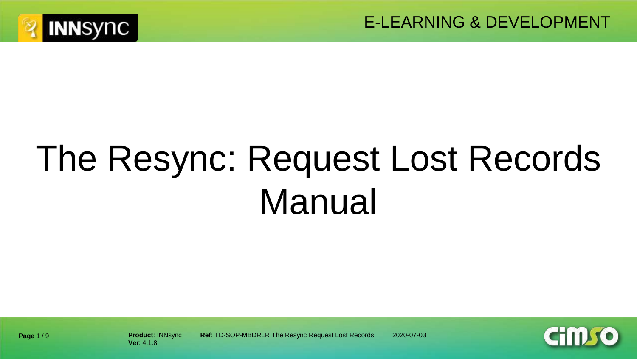



# The Resync: Request Lost Records Manual



**Product**: INNsync **Ref**: TD-SOP-MBDRLR The Resync Request Lost Records 2020-07-03

**Page** 1 / 9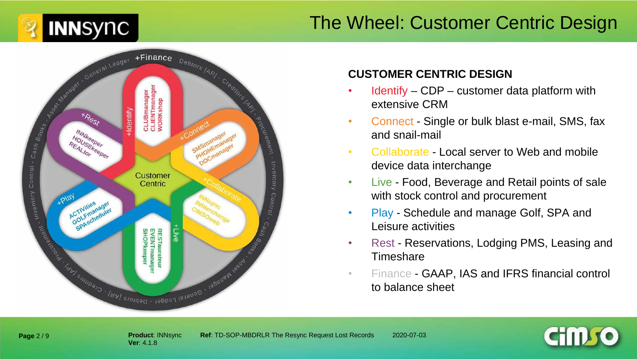



#### **CUSTOMER CENTRIC DESIGN**

- $Identity CDP customer data platform with$ extensive CRM
- Connect Single or bulk blast e-mail, SMS, fax and snail-mail
- Collaborate Local server to Web and mobile device data interchange
- Live Food, Beverage and Retail points of sale with stock control and procurement
- Play Schedule and manage Golf, SPA and Leisure activities
- Rest Reservations, Lodging PMS, Leasing and **Timeshare**
- Finance GAAP, IAS and IFRS financial control to balance sheet



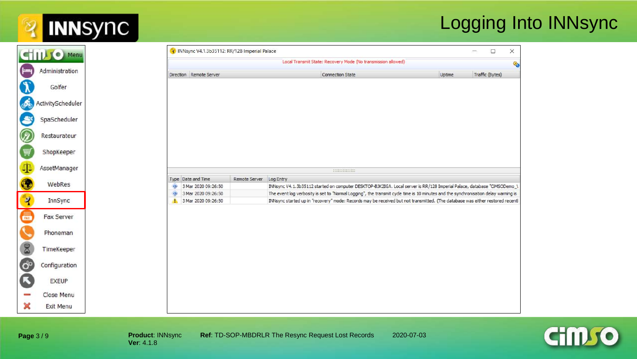### Logging Into INNsync

| STILL C Menu      |  |
|-------------------|--|
|                   |  |
| Administration    |  |
| Golfer            |  |
| ActivityScheduler |  |
| SpaScheduler      |  |
| Restaurateur      |  |
| ShopKeeper        |  |
| AssetManager      |  |
| WebRes            |  |
|                   |  |
|                   |  |
| InnSync           |  |
| Fax Server        |  |
| Phoneman          |  |
| TimeKeeper        |  |
| Configuration     |  |
|                   |  |
| <b>EXEUP</b>      |  |
| Close Menu        |  |



**Page** 3 / 9

**INNSYNC** 

 $\overline{\mathbf{2}}$ 

**Product: INNsync Ref: TD-SOP-MBDRLR The Resync Request Lost Records 2020-07-03**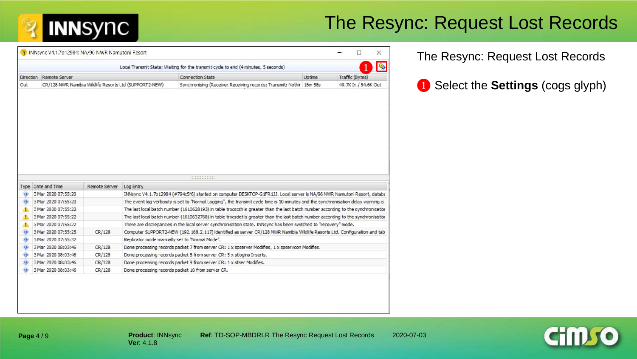### The Resync: Request Lost Records

|                  |                                            |                      |                                                        | Local Transmit State: Waiting for the transmit cycle to end (4 minutes, 5 seconds)                                                             |        |                      |
|------------------|--------------------------------------------|----------------------|--------------------------------------------------------|------------------------------------------------------------------------------------------------------------------------------------------------|--------|----------------------|
| <b>Direction</b> | Remote Server                              |                      |                                                        | <b>Connection State</b>                                                                                                                        | Uptime | Traffic (Bytes)      |
| Out              |                                            |                      | CR/128 NWR Namibia Wildlife Resorts Ltd (SUPPORT2-NEW) | Synchronising (Receive: Receiving records; Transmit: Nothir 16m 58s                                                                            |        | 49.7K In / 54.6K Out |
|                  |                                            |                      |                                                        |                                                                                                                                                |        |                      |
|                  |                                            |                      |                                                        |                                                                                                                                                |        |                      |
|                  |                                            |                      |                                                        | 1111111111111                                                                                                                                  |        |                      |
|                  | Type Date and Time                         | <b>Remote Server</b> | Log Entry                                              |                                                                                                                                                |        |                      |
| Œ                | 3 Mar 2020 07:55:20                        |                      |                                                        | INNsync V4.1.7b12984 (#794c5f6) started on computer DESKTOP-G1FR1JJ. Local server is NA/96 NWR Namutoni Resort, databa                         |        |                      |
|                  | 3 Mar 2020 07:55:20                        |                      |                                                        | The event log verbosity is set to "Normal Logging", the transmit cycle time is 10 minutes and the synchronisation delay warning is             |        |                      |
|                  | 3 Mar 2020 07:55:22                        |                      |                                                        | The last local batch number (1610628193) in table trxcscsh is greater than the last batch number according to the synchronisation              |        |                      |
|                  | 3 Mar 2020 07:55:22                        |                      |                                                        | The last local batch number (1610632768) in table trxcsdet is greater than the last batch number according to the synchronisation              |        |                      |
|                  | 3 Mar 2020 07:55:22                        |                      |                                                        | There are discrepancies in the local server synchronisation state. INNsync has been switched to "recovery" mode.                               |        |                      |
| $\bullet$        | 3 Mar 2020 07:55:25                        | CR/128               |                                                        | Computer SUPPORT2-NEW (192.168.2.117) identified as server CR/128 NWR Namibia Wildlife Resorts Ltd. Configuration and tab                      |        |                      |
| $\circ$          | 3 Mar 2020 07:55:32                        |                      | Replicator mode manually set to "Normal Mode".         |                                                                                                                                                |        |                      |
| O                | 3 Mar 2020 08:03:46                        | CR/128               |                                                        | Done processing records packet 7 from server CR: 1 x spserver Modifies, 1 x spservcon Modifies.                                                |        |                      |
| Œ<br><b>GB</b>   | 3 Mar 2020 08:03:46<br>3 Mar 2020 08:03:46 | CR/128<br>CR/128     |                                                        | Done processing records packet 8 from server CR: 5 x stlogins Inserts.<br>Done processing records packet 9 from server CR: 1 x stsec Modifies. |        |                      |

The Resync: Request Lost Records

❶ Select the **Settings** (cogs glyph)

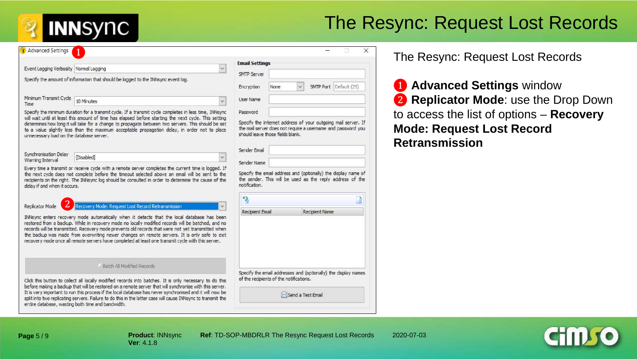## The Resync: Request Lost Records

| <b>Advanced Settings</b>                  |                                                                                                                                                                                                                                                                                                                                                                                                                                                                                                                |                                              |      |                       | X                                                                                                                             |
|-------------------------------------------|----------------------------------------------------------------------------------------------------------------------------------------------------------------------------------------------------------------------------------------------------------------------------------------------------------------------------------------------------------------------------------------------------------------------------------------------------------------------------------------------------------------|----------------------------------------------|------|-----------------------|-------------------------------------------------------------------------------------------------------------------------------|
| Event Logging Verbosity Normal Logging    | $\checkmark$                                                                                                                                                                                                                                                                                                                                                                                                                                                                                                   | <b>Email Settings</b>                        |      |                       |                                                                                                                               |
|                                           | Specify the amount of information that should be logged to the INNsync event log.                                                                                                                                                                                                                                                                                                                                                                                                                              | <b>SMTP Server</b><br>Encryption             | None |                       | SMTP Port Default (25)                                                                                                        |
| Minimum Transmit Cycle<br>Time            | 10 Minutes<br>$\checkmark$                                                                                                                                                                                                                                                                                                                                                                                                                                                                                     | <b>User Name</b>                             |      |                       |                                                                                                                               |
| unnecessary load on the database server.  | Specify the minimum duration for a transmit cycle. If a transmit cycle completes in less time, INNsync<br>will wait until at least this amount of time has elapsed before starting the next cycle. This setting<br>determines how long it will take for a change to propagate between two servers. This should be set<br>to a value slightly less than the maximum acceptable propagation delay, in order not to place                                                                                         | Password<br>should leave those fields blank. |      |                       | Specify the internet address of your outgoing mail server. If<br>the mail server does not require a username and password you |
| Synchronisation Delay<br>Warning Interval | [Disabled]                                                                                                                                                                                                                                                                                                                                                                                                                                                                                                     | Sender Email<br>Sender Name                  |      |                       |                                                                                                                               |
| delay if and when it occurs.              | Every time a transmit or receive cycle with a remote server completes the current time is logged. If<br>the next cycle does not complete before the timeout selected above an email will be sent to the<br>recipients on the right. The INNsync log should be consulted in order to determine the cause of the                                                                                                                                                                                                 | notification.<br>43                          |      |                       | Specify the email address and (optionally) the display name of<br>the sender. This will be used as the reply address of the   |
| Replicator Mode                           | Recovery Mode: Request Lost Record Retransmission                                                                                                                                                                                                                                                                                                                                                                                                                                                              |                                              |      |                       |                                                                                                                               |
|                                           | INNsync enters recovery mode automatically when it detects that the local database has been<br>restored from a backup. While in recovery mode no locally modified records will be batched, and no<br>records will be transmitted. Recovery mode prevents old records that were not yet transmitted when<br>the backup was made from overwriting newer changes on remote servers. It is only safe to exit<br>recovery mode once all remote servers have completed at least one transmit cycle with this server. | Recipient Email                              |      | <b>Recipient Name</b> |                                                                                                                               |
|                                           |                                                                                                                                                                                                                                                                                                                                                                                                                                                                                                                |                                              |      |                       |                                                                                                                               |
|                                           | Batch All Modified Records                                                                                                                                                                                                                                                                                                                                                                                                                                                                                     |                                              |      |                       | Specify the email addresses and (optionally) the display names                                                                |

#### The Resync: Request Lost Records

❶ **Advanced Settings** window ❷ **Replicator Mode**: use the Drop Down to access the list of options – **Recovery Mode: Request Lost Record Retransmission** 

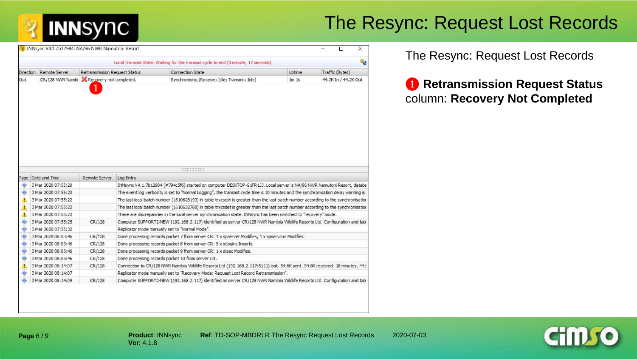## The Resync: Request Lost Records

|                        |                                                   |                                      |           | Local Transmit State: Waiting for the transmit cycle to end (1 minute, 17 seconds)                                                                                                                                |         | Q.                   |
|------------------------|---------------------------------------------------|--------------------------------------|-----------|-------------------------------------------------------------------------------------------------------------------------------------------------------------------------------------------------------------------|---------|----------------------|
| <b>Direction</b>       | Remote Server                                     | <b>Retransmission Request Status</b> |           | <b>Connection State</b>                                                                                                                                                                                           | Uptime  | Traffic (Bytes)      |
| Out                    | CR/128 NWR Namib <b>X</b> Recovery not completed. |                                      |           | Synchronising (Receive: Idle; Transmit: Idle)                                                                                                                                                                     | $1m$ 1s | 44.2K In / 44.2K Out |
|                        |                                                   |                                      |           |                                                                                                                                                                                                                   |         |                      |
|                        |                                                   |                                      |           |                                                                                                                                                                                                                   |         |                      |
|                        | Type Date and Time                                | Remote Server                        | Log Entry |                                                                                                                                                                                                                   |         |                      |
|                        | 3 Mar 2020 07:55:20                               |                                      |           | INNsync V4.1.7b12984 (#794c5f6) started on computer DESKTOP-G1FR1JJ. Local server is NA/96 NWR Namutoni Resort, databa                                                                                            |         |                      |
| Œ                      | 3 Mar 2020 07:55:20                               |                                      |           | The event log verbosity is set to "Normal Logging", the transmit cycle time is 10 minutes and the synchronisation delay warning is                                                                                |         |                      |
| Æ                      | 3 Mar 2020 07:55:22                               |                                      |           | The last local batch number (1610628193) in table trxcscsh is greater than the last batch number according to the synchronisation                                                                                 |         |                      |
|                        | 3 Mar 2020 07:55:22                               |                                      |           | The last local batch number (1610632768) in table trxcsdet is greater than the last batch number according to the synchronisation                                                                                 |         |                      |
| 4                      | 3 Mar 2020 07:55:22                               |                                      |           | There are discrepancies in the local server synchronisation state. INNsync has been switched to "recovery" mode.                                                                                                  |         |                      |
| <b>OD</b>              | 3 Mar 2020 07:55:25                               | CR/128                               |           | Computer SUPPORT2-NEW (192.168.2.117) identified as server CR/128 NWR Namibia Wildlife Resorts Ltd. Configuration and tab                                                                                         |         |                      |
| Œ                      | 3 Mar 2020 07:55:32                               |                                      |           | Replicator mode manually set to "Normal Mode".                                                                                                                                                                    |         |                      |
|                        | 3 Mar 2020 08:03:46                               | CR/128                               |           | Done processing records packet 7 from server CR: 1 x spserver Modifies, 1 x spservcon Modifies.                                                                                                                   |         |                      |
| (1)<br>$\bullet$       | 3 Mar 2020 08:03:46                               | CR/128                               |           | Done processing records packet 8 from server CR: 5 x stlogins Inserts.                                                                                                                                            |         |                      |
|                        | 3 Mar 2020 08:03:46                               | CR/128                               |           | Done processing records packet 9 from server CR: 1 x stsec Modifies.                                                                                                                                              |         |                      |
|                        | 3 Mar 2020 08:03:46                               | CR/128                               |           | Done processing records packet 10 from server CR.                                                                                                                                                                 |         |                      |
| <b>GD</b><br><b>CO</b> | 3 Mar 2020 08:14:07                               | CR/128                               |           | Connection to CR/128 NWR Namibia Wildlife Resorts Ltd (192.168.2.117:5111) lost. 54.6K sent. 54.8K received. 18 minutes, 44:                                                                                      |         |                      |
| <b>O</b>               | 3 Mar 2020 08:14:07<br>3 Mar 2020 08:14:09        | CR/128                               |           | Replicator mode manually set to "Recovery Mode: Request Lost Record Retransmission".<br>Computer SUPPORT2-NEW (192.168.2.117) identified as server CR/128 NWR Namibia Wildlife Resorts Ltd. Configuration and tab |         |                      |

#### The Resync: Request Lost Records

#### ❶ **Retransmission Request Status**  column: **Recovery Not Completed**



**Product**: INNsync **Ref**: TD-SOP-MBDRLR The Resync Request Lost Records 2020-07-03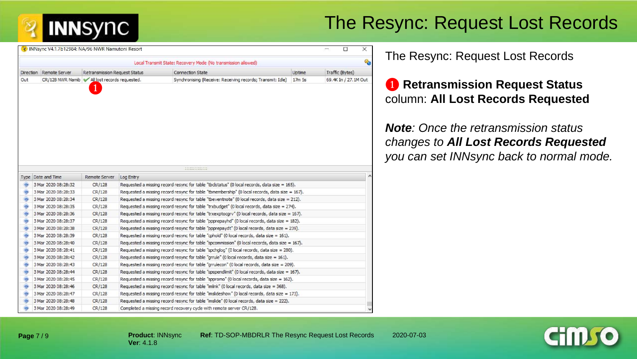### The Resync: Request Lost Records

|                        |                                              |                                      | Local Transmit State: Recovery Mode (No transmission allowed)                                                                                                                                 |        | €                    |
|------------------------|----------------------------------------------|--------------------------------------|-----------------------------------------------------------------------------------------------------------------------------------------------------------------------------------------------|--------|----------------------|
| <b>Direction</b>       | Remote Server                                | <b>Retransmission Request Status</b> | <b>Connection State</b>                                                                                                                                                                       | Uptime | Traffic (Bytes)      |
| Out                    | CR/128 NWR Namib All lost records requested. |                                      | Synchronising (Receive: Receiving records; Transmit: Idle)                                                                                                                                    | 17m 5s | 69.4K In / 27.1M Out |
|                        |                                              |                                      |                                                                                                                                                                                               |        |                      |
|                        | Type Date and Time                           | Remote Server                        | **************                                                                                                                                                                                |        |                      |
| KB)                    | 3 Mar 2020 08:28:32                          | CR/128                               | Log Entry<br>Requested a missing record resync for table "tbclstatus" (0 local records, data size = 165).                                                                                     |        |                      |
|                        | 3 Mar 2020 08:28:33                          | CR/128                               | Requested a missing record resync for table "tbmembership" (0 local records, data size = 167).                                                                                                |        |                      |
| $\bullet$<br>$\bullet$ | 3 Mar 2020 08:28:34                          | CR/128                               | Requested a missing record resync for table "theventnote" (0 local records, data size = 212).                                                                                                 |        |                      |
|                        |                                              |                                      |                                                                                                                                                                                               |        |                      |
|                        |                                              |                                      |                                                                                                                                                                                               |        |                      |
| (b)                    | 3 Mar 2020 08:28:35                          | CR/128                               | Requested a missing record resync for table "trxbudget" (0 local records, data size = 274).                                                                                                   |        |                      |
|                        | 3 Mar 2020 08:28:36                          | CR/128                               | Requested a missing record resync for table "trxexptocgry" (0 local records, data size = 167).                                                                                                |        |                      |
|                        | 3 Mar 2020 08:28:37                          | CR/128                               | Requested a missing record resync for table "ppprepayhd" (0 local records, data size = 182).                                                                                                  |        |                      |
| $\mathbf{a}$           | 3 Mar 2020 08:28:38                          | CR/128                               | Requested a missing record resync for table "ppprepaydt" (0 local records, data size = 239).                                                                                                  |        |                      |
| Œ                      | 3 Mar 2020 08:28:39                          | CR/128                               | Requested a missing record resync for table "cphold" (0 local records, data size = 161).                                                                                                      |        |                      |
| <b>KB</b>              | 3 Mar 2020 08:28:40                          | CR/128                               | Requested a missing record resync for table "spcommission" (0 local records, data size = 167).                                                                                                |        |                      |
| KB.                    | 3 Mar 2020 08:28:41                          | CR/128                               | Requested a missing record resync for table "spchglog" (0 local records, data size = 280).                                                                                                    |        |                      |
| œ                      | 3 Mar 2020 08:28:42                          | CR/128                               | Requested a missing record resync for table "grrule" (0 local records, data size = 161).                                                                                                      |        |                      |
| $\left($<br>$\bullet$  | 3 Mar 2020 08:28:43                          | CR/128                               | Requested a missing record resync for table "grrulecon" (0 local records, data size = 209).                                                                                                   |        |                      |
| Ф                      | 3 Mar 2020 08:28:44                          | CR/128                               | Requested a missing record resync for table "spspendlimit" (0 local records, data size = 167).                                                                                                |        |                      |
| <b>KB</b>              | 3 Mar 2020 08:28:45<br>3 Mar 2020 08:28:46   | CR/128                               | Requested a missing record resync for table "sppromo" (0 local records, data size = 162).                                                                                                     |        |                      |
| Œ                      | 3 Mar 2020 08:28:47                          | CR/128                               | Requested a missing record resync for table "imlink" (0 local records, data size = 368).                                                                                                      |        |                      |
| $\mathbf{a}$           | 3 Mar 2020 08:28:48                          | CR/128<br>CR/128                     | Requested a missing record resync for table "imslideshow" (0 local records, data size $= 173$ ).<br>Requested a missing record resync for table "imslide" (0 local records, data size = 222). |        |                      |

#### The Resync: Request Lost Records

### ❶ **Retransmission Request Status**  column: **All Lost Records Requested**

*Note: Once the retransmission status changes to All Lost Records Requested you can set INNsync back to normal mode.* 



**Page** 7 / 9

**INNSYNC**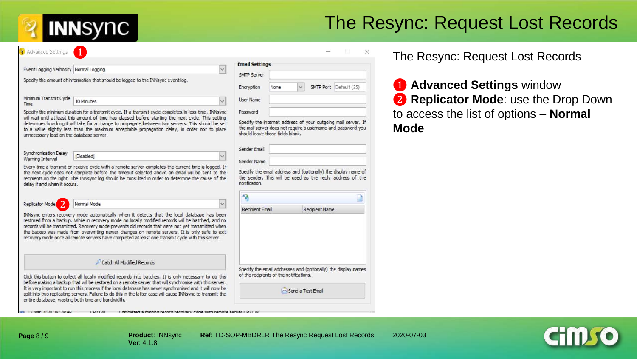## The Resync: Request Lost Records

X

| Advanced Settings                               |                                                                                                                                                                                                                                                                                                                                                                                                                                                                                                                                              |                                                                                                                                                                   |      |              |                       |                        |  |
|-------------------------------------------------|----------------------------------------------------------------------------------------------------------------------------------------------------------------------------------------------------------------------------------------------------------------------------------------------------------------------------------------------------------------------------------------------------------------------------------------------------------------------------------------------------------------------------------------------|-------------------------------------------------------------------------------------------------------------------------------------------------------------------|------|--------------|-----------------------|------------------------|--|
| Event Logging Verbosity Normal Logging          | $\checkmark$                                                                                                                                                                                                                                                                                                                                                                                                                                                                                                                                 | <b>Email Settings</b>                                                                                                                                             |      |              |                       |                        |  |
|                                                 |                                                                                                                                                                                                                                                                                                                                                                                                                                                                                                                                              | <b>SMTP Server</b>                                                                                                                                                |      |              |                       |                        |  |
|                                                 | Specify the amount of information that should be logged to the INNsync event log.                                                                                                                                                                                                                                                                                                                                                                                                                                                            | Encryption                                                                                                                                                        | None | $\checkmark$ |                       | SMTP Port Default (25) |  |
| Minimum Transmit Cycle<br>Time                  | 10 Minutes<br>$\checkmark$                                                                                                                                                                                                                                                                                                                                                                                                                                                                                                                   | <b>User Name</b>                                                                                                                                                  |      |              |                       |                        |  |
|                                                 | Specify the minimum duration for a transmit cycle. If a transmit cycle completes in less time, INNsync                                                                                                                                                                                                                                                                                                                                                                                                                                       | Password                                                                                                                                                          |      |              |                       |                        |  |
| unnecessary load on the database server.        | will wait until at least this amount of time has elapsed before starting the next cycle. This setting<br>determines how long it will take for a change to propagate between two servers. This should be set<br>to a value slightly less than the maximum acceptable propagation delay, in order not to place                                                                                                                                                                                                                                 | Specify the internet address of your outgoing mail server. If<br>the mail server does not require a username and password you<br>should leave those fields blank. |      |              |                       |                        |  |
|                                                 |                                                                                                                                                                                                                                                                                                                                                                                                                                                                                                                                              | Sender Email                                                                                                                                                      |      |              |                       |                        |  |
| Synchronisation Delay<br>Warning Interval       | [Disabled]                                                                                                                                                                                                                                                                                                                                                                                                                                                                                                                                   | Sender Name                                                                                                                                                       |      |              |                       |                        |  |
| delay if and when it occurs.<br>Replicator Mode | the next cycle does not complete before the timeout selected above an email will be sent to the<br>recipients on the right. The INNsync log should be consulted in order to determine the cause of the<br>Normal Mode<br>$\checkmark$                                                                                                                                                                                                                                                                                                        | Specify the email address and (optionally) the display name of<br>the sender. This will be used as the reply address of the<br>notification.<br>43                |      |              |                       |                        |  |
|                                                 |                                                                                                                                                                                                                                                                                                                                                                                                                                                                                                                                              | <b>Recipient Email</b>                                                                                                                                            |      |              | <b>Recipient Name</b> |                        |  |
|                                                 | INNsync enters recovery mode automatically when it detects that the local database has been<br>restored from a backup. While in recovery mode no locally modified records will be batched, and no<br>records will be transmitted. Recovery mode prevents old records that were not yet transmitted when<br>the backup was made from overwriting newer changes on remote servers. It is only safe to exit<br>recovery mode once all remote servers have completed at least one transmit cycle with this server.<br>Batch All Modified Records |                                                                                                                                                                   |      |              |                       |                        |  |
|                                                 |                                                                                                                                                                                                                                                                                                                                                                                                                                                                                                                                              | Specify the email addresses and (optionally) the display names                                                                                                    |      |              |                       |                        |  |
|                                                 |                                                                                                                                                                                                                                                                                                                                                                                                                                                                                                                                              |                                                                                                                                                                   |      |              |                       |                        |  |
|                                                 | Click this button to collect all locally modified records into batches. It is only necessary to do this<br>before making a backup that will be restored on a remote server that will synchronise with this server.                                                                                                                                                                                                                                                                                                                           | of the recipients of the notifications.                                                                                                                           |      |              |                       |                        |  |

#### The Resync: Request Lost Records

❶ **Advanced Settings** window ❷ **Replicator Mode**: use the Drop Down to access the list of options – **Normal Mode**